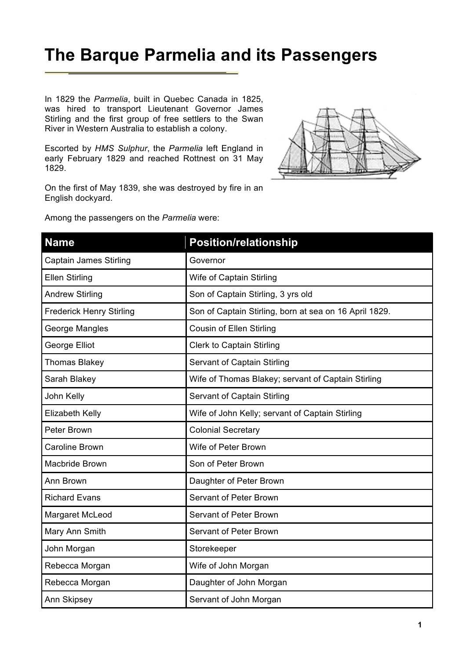## **The Barque Parmelia and its Passengers**

In 1829 the *Parmelia*, built in Quebec Canada in 1825, was hired to transport Lieutenant Governor James Stirling and the first group of free settlers to the Swan River in Western Australia to establish a colony.

Escorted by *HMS Sulphur*, the *Parmelia* left England in early February 1829 and reached Rottnest on 31 May 1829.

On the first of May 1839, she was destroyed by fire in an English dockyard.

Among the passengers on the *Parmelia* were:



| <b>Name</b>                     | <b>Position/relationship</b>                           |
|---------------------------------|--------------------------------------------------------|
| <b>Captain James Stirling</b>   | Governor                                               |
| <b>Ellen Stirling</b>           | Wife of Captain Stirling                               |
| <b>Andrew Stirling</b>          | Son of Captain Stirling, 3 yrs old                     |
| <b>Frederick Henry Stirling</b> | Son of Captain Stirling, born at sea on 16 April 1829. |
| George Mangles                  | Cousin of Ellen Stirling                               |
| George Elliot                   | <b>Clerk to Captain Stirling</b>                       |
| Thomas Blakey                   | Servant of Captain Stirling                            |
| Sarah Blakey                    | Wife of Thomas Blakey; servant of Captain Stirling     |
| John Kelly                      | Servant of Captain Stirling                            |
| Elizabeth Kelly                 | Wife of John Kelly; servant of Captain Stirling        |
| Peter Brown                     | <b>Colonial Secretary</b>                              |
| <b>Caroline Brown</b>           | Wife of Peter Brown                                    |
| Macbride Brown                  | Son of Peter Brown                                     |
| Ann Brown                       | Daughter of Peter Brown                                |
| <b>Richard Evans</b>            | <b>Servant of Peter Brown</b>                          |
| Margaret McLeod                 | <b>Servant of Peter Brown</b>                          |
| Mary Ann Smith                  | <b>Servant of Peter Brown</b>                          |
| John Morgan                     | Storekeeper                                            |
| Rebecca Morgan                  | Wife of John Morgan                                    |
| Rebecca Morgan                  | Daughter of John Morgan                                |
| Ann Skipsey                     | Servant of John Morgan                                 |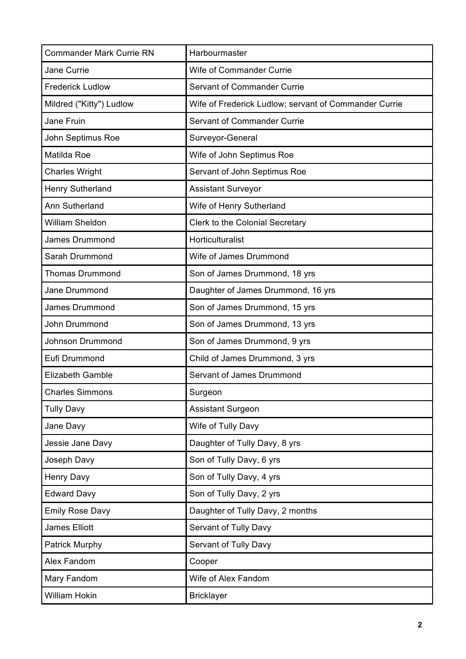| <b>Commander Mark Currie RN</b> | Harbourmaster                                         |
|---------------------------------|-------------------------------------------------------|
| Jane Currie                     | Wife of Commander Currie                              |
| <b>Frederick Ludlow</b>         | <b>Servant of Commander Currie</b>                    |
| Mildred ("Kitty") Ludlow        | Wife of Frederick Ludlow; servant of Commander Currie |
| Jane Fruin                      | <b>Servant of Commander Currie</b>                    |
| John Septimus Roe               | Surveyor-General                                      |
| Matilda Roe                     | Wife of John Septimus Roe                             |
| <b>Charles Wright</b>           | Servant of John Septimus Roe                          |
| Henry Sutherland                | <b>Assistant Surveyor</b>                             |
| Ann Sutherland                  | Wife of Henry Sutherland                              |
| <b>William Sheldon</b>          | Clerk to the Colonial Secretary                       |
| <b>James Drummond</b>           | Horticulturalist                                      |
| Sarah Drummond                  | Wife of James Drummond                                |
| <b>Thomas Drummond</b>          | Son of James Drummond, 18 yrs                         |
| Jane Drummond                   | Daughter of James Drummond, 16 yrs                    |
| James Drummond                  | Son of James Drummond, 15 yrs                         |
| John Drummond                   | Son of James Drummond, 13 yrs                         |
| Johnson Drummond                | Son of James Drummond, 9 yrs                          |
| Eufi Drummond                   | Child of James Drummond, 3 yrs                        |
| <b>Elizabeth Gamble</b>         | Servant of James Drummond                             |
| <b>Charles Simmons</b>          | Surgeon                                               |
| <b>Tully Davy</b>               | <b>Assistant Surgeon</b>                              |
| Jane Davy                       | Wife of Tully Davy                                    |
| Jessie Jane Davy                | Daughter of Tully Davy, 8 yrs                         |
| Joseph Davy                     | Son of Tully Davy, 6 yrs                              |
| Henry Davy                      | Son of Tully Davy, 4 yrs                              |
| <b>Edward Davy</b>              | Son of Tully Davy, 2 yrs                              |
| <b>Emily Rose Davy</b>          | Daughter of Tully Davy, 2 months                      |
| James Elliott                   | Servant of Tully Davy                                 |
| <b>Patrick Murphy</b>           | Servant of Tully Davy                                 |
| Alex Fandom                     | Cooper                                                |
| Mary Fandom                     | Wife of Alex Fandom                                   |
| William Hokin                   | <b>Bricklayer</b>                                     |